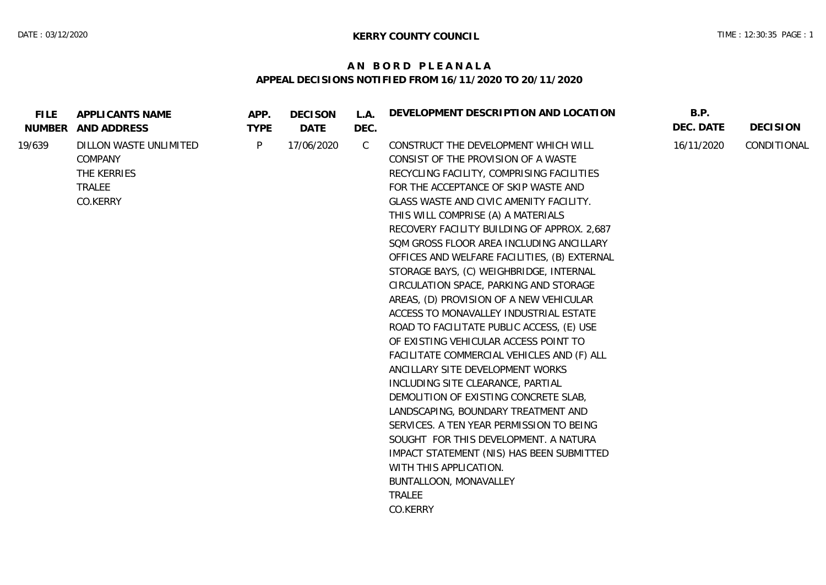## **A N B O R D P L E A N A L A APPEAL DECISIONS NOTIFIED FROM 16/11/2020 TO 20/11/2020**

| <b>FILE</b> | APPLICANTS NAME<br>NUMBER AND ADDRESS                                  | APP.<br><b>TYPE</b> | <b>DECISON</b><br>DATE | L.A.<br>DEC. | DEVELOPMENT DESCRIPTION AND LOCATION                                                                                                                                                                                                                                                                                                                                                                                                                                                                                                                                                                                                                                                                                                                                                                                                                                                                                                                                                                                                                                            | B.P.<br>DEC. DATE | <b>DECISION</b> |
|-------------|------------------------------------------------------------------------|---------------------|------------------------|--------------|---------------------------------------------------------------------------------------------------------------------------------------------------------------------------------------------------------------------------------------------------------------------------------------------------------------------------------------------------------------------------------------------------------------------------------------------------------------------------------------------------------------------------------------------------------------------------------------------------------------------------------------------------------------------------------------------------------------------------------------------------------------------------------------------------------------------------------------------------------------------------------------------------------------------------------------------------------------------------------------------------------------------------------------------------------------------------------|-------------------|-----------------|
| 19/639      | DILLON WASTE UNLIMITED<br>COMPANY<br>THE KERRIES<br>TRALEE<br>CO.KERRY | P                   | 17/06/2020             | C            | CONSTRUCT THE DEVELOPMENT WHICH WILL<br>CONSIST OF THE PROVISION OF A WASTE<br>RECYCLING FACILITY, COMPRISING FACILITIES<br>FOR THE ACCEPTANCE OF SKIP WASTE AND<br>GLASS WASTE AND CIVIC AMENITY FACILITY.<br>THIS WILL COMPRISE (A) A MATERIALS<br>RECOVERY FACILITY BUILDING OF APPROX. 2,687<br>SOM GROSS FLOOR AREA INCLUDING ANCILLARY<br>OFFICES AND WELFARE FACILITIES, (B) EXTERNAL<br>STORAGE BAYS, (C) WEIGHBRIDGE, INTERNAL<br>CIRCULATION SPACE, PARKING AND STORAGE<br>AREAS, (D) PROVISION OF A NEW VEHICULAR<br>ACCESS TO MONAVALLEY INDUSTRIAL ESTATE<br>ROAD TO FACILITATE PUBLIC ACCESS, (E) USE<br>OF EXISTING VEHICULAR ACCESS POINT TO<br>FACILITATE COMMERCIAL VEHICLES AND (F) ALL<br>ANCILLARY SITE DEVELOPMENT WORKS<br>INCLUDING SITE CLEARANCE, PARTIAL<br>DEMOLITION OF EXISTING CONCRETE SLAB,<br>LANDSCAPING, BOUNDARY TREATMENT AND<br>SERVICES. A TEN YEAR PERMISSION TO BEING<br>SOUGHT FOR THIS DEVELOPMENT. A NATURA<br>IMPACT STATEMENT (NIS) HAS BEEN SUBMITTED<br>WITH THIS APPLICATION.<br>BUNTALLOON, MONAVALLEY<br>TRALEE<br>CO.KERRY | 16/11/2020        | CONDITIONAL     |
|             |                                                                        |                     |                        |              |                                                                                                                                                                                                                                                                                                                                                                                                                                                                                                                                                                                                                                                                                                                                                                                                                                                                                                                                                                                                                                                                                 |                   |                 |